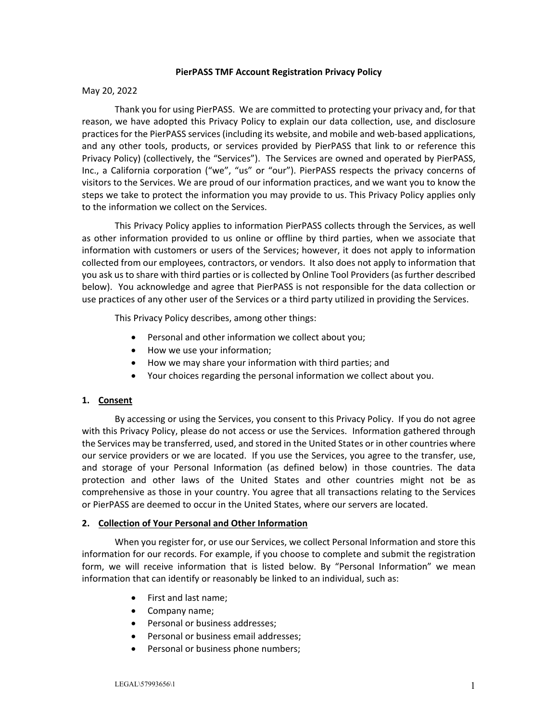### **PierPASS TMF Account Registration Privacy Policy**

### May 20, 2022

Thank you for using PierPASS. We are committed to protecting your privacy and, for that reason, we have adopted this Privacy Policy to explain our data collection, use, and disclosure practices for the PierPASS services (including its website, and mobile and web‐based applications, and any other tools, products, or services provided by PierPASS that link to or reference this Privacy Policy) (collectively, the "Services"). The Services are owned and operated by PierPASS, Inc., a California corporation ("we", "us" or "our"). PierPASS respects the privacy concerns of visitors to the Services. We are proud of our information practices, and we want you to know the steps we take to protect the information you may provide to us. This Privacy Policy applies only to the information we collect on the Services.

This Privacy Policy applies to information PierPASS collects through the Services, as well as other information provided to us online or offline by third parties, when we associate that information with customers or users of the Services; however, it does not apply to information collected from our employees, contractors, or vendors. It also does not apply to information that you ask us to share with third parties or is collected by Online Tool Providers (as further described below). You acknowledge and agree that PierPASS is not responsible for the data collection or use practices of any other user of the Services or a third party utilized in providing the Services.

This Privacy Policy describes, among other things:

- Personal and other information we collect about you;
- How we use your information;
- How we may share your information with third parties; and
- Your choices regarding the personal information we collect about you.

# **1. Consent**

By accessing or using the Services, you consent to this Privacy Policy. If you do not agree with this Privacy Policy, please do not access or use the Services. Information gathered through the Services may be transferred, used, and stored in the United States or in other countries where our service providers or we are located. If you use the Services, you agree to the transfer, use, and storage of your Personal Information (as defined below) in those countries. The data protection and other laws of the United States and other countries might not be as comprehensive as those in your country. You agree that all transactions relating to the Services or PierPASS are deemed to occur in the United States, where our servers are located.

# **2. Collection of Your Personal and Other Information**

When you register for, or use our Services, we collect Personal Information and store this information for our records. For example, if you choose to complete and submit the registration form, we will receive information that is listed below. By "Personal Information" we mean information that can identify or reasonably be linked to an individual, such as:

- First and last name;
- Company name;
- Personal or business addresses;
- Personal or business email addresses;
- Personal or business phone numbers;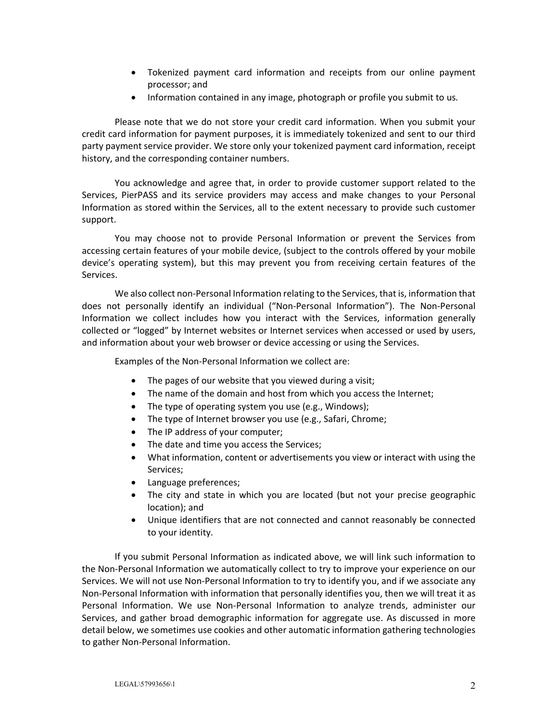- Tokenized payment card information and receipts from our online payment processor; and
- Information contained in any image, photograph or profile you submit to us*.*

Please note that we do not store your credit card information. When you submit your credit card information for payment purposes, it is immediately tokenized and sent to our third party payment service provider. We store only your tokenized payment card information, receipt history, and the corresponding container numbers.

You acknowledge and agree that, in order to provide customer support related to the Services, PierPASS and its service providers may access and make changes to your Personal Information as stored within the Services, all to the extent necessary to provide such customer support.

You may choose not to provide Personal Information or prevent the Services from accessing certain features of your mobile device, (subject to the controls offered by your mobile device's operating system), but this may prevent you from receiving certain features of the Services.

We also collect non‐Personal Information relating to the Services, that is, information that does not personally identify an individual ("Non‐Personal Information"). The Non‐Personal Information we collect includes how you interact with the Services, information generally collected or "logged" by Internet websites or Internet services when accessed or used by users, and information about your web browser or device accessing or using the Services.

Examples of the Non‐Personal Information we collect are:

- The pages of our website that you viewed during a visit;
- The name of the domain and host from which you access the Internet;
- The type of operating system you use (e.g., Windows);
- The type of Internet browser you use (e.g., Safari, Chrome;
- The IP address of your computer;
- The date and time you access the Services;
- What information, content or advertisements you view or interact with using the Services;
- Language preferences;
- The city and state in which you are located (but not your precise geographic location); and
- Unique identifiers that are not connected and cannot reasonably be connected to your identity.

If you submit Personal Information as indicated above, we will link such information to the Non‐Personal Information we automatically collect to try to improve your experience on our Services. We will not use Non‐Personal Information to try to identify you, and if we associate any Non‐Personal Information with information that personally identifies you, then we will treat it as Personal Information. We use Non-Personal Information to analyze trends, administer our Services, and gather broad demographic information for aggregate use. As discussed in more detail below, we sometimes use cookies and other automatic information gathering technologies to gather Non‐Personal Information.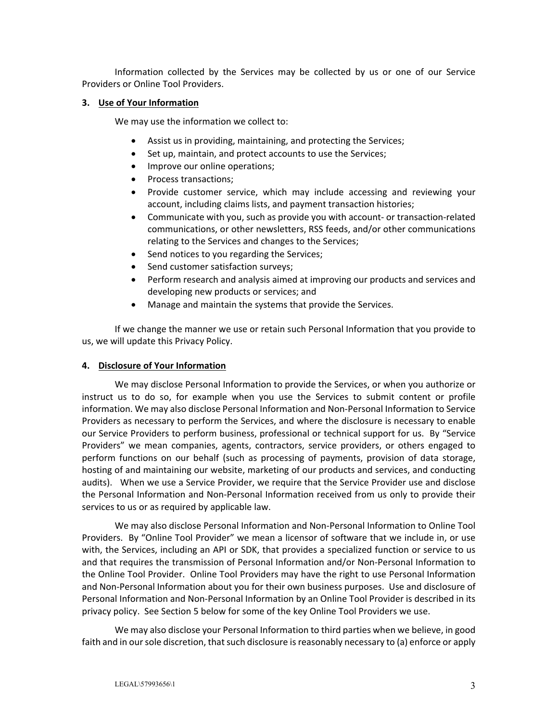Information collected by the Services may be collected by us or one of our Service Providers or Online Tool Providers.

## **3. Use of Your Information**

We may use the information we collect to:

- Assist us in providing, maintaining, and protecting the Services;
- Set up, maintain, and protect accounts to use the Services;
- Improve our online operations;
- Process transactions;
- Provide customer service, which may include accessing and reviewing your account, including claims lists, and payment transaction histories;
- Communicate with you, such as provide you with account‐ or transaction‐related communications, or other newsletters, RSS feeds, and/or other communications relating to the Services and changes to the Services;
- Send notices to you regarding the Services;
- Send customer satisfaction surveys;
- Perform research and analysis aimed at improving our products and services and developing new products or services; and
- Manage and maintain the systems that provide the Services.

If we change the manner we use or retain such Personal Information that you provide to us, we will update this Privacy Policy.

# **4. Disclosure of Your Information**

We may disclose Personal Information to provide the Services, or when you authorize or instruct us to do so, for example when you use the Services to submit content or profile information. We may also disclose Personal Information and Non‐Personal Information to Service Providers as necessary to perform the Services, and where the disclosure is necessary to enable our Service Providers to perform business, professional or technical support for us. By "Service Providers" we mean companies, agents, contractors, service providers, or others engaged to perform functions on our behalf (such as processing of payments, provision of data storage, hosting of and maintaining our website, marketing of our products and services, and conducting audits). When we use a Service Provider, we require that the Service Provider use and disclose the Personal Information and Non‐Personal Information received from us only to provide their services to us or as required by applicable law.

We may also disclose Personal Information and Non‐Personal Information to Online Tool Providers. By "Online Tool Provider" we mean a licensor of software that we include in, or use with, the Services, including an API or SDK, that provides a specialized function or service to us and that requires the transmission of Personal Information and/or Non‐Personal Information to the Online Tool Provider. Online Tool Providers may have the right to use Personal Information and Non‐Personal Information about you for their own business purposes. Use and disclosure of Personal Information and Non‐Personal Information by an Online Tool Provider is described in its privacy policy. See Section 5 below for some of the key Online Tool Providers we use.

We may also disclose your Personal Information to third parties when we believe, in good faith and in our sole discretion, that such disclosure is reasonably necessary to (a) enforce or apply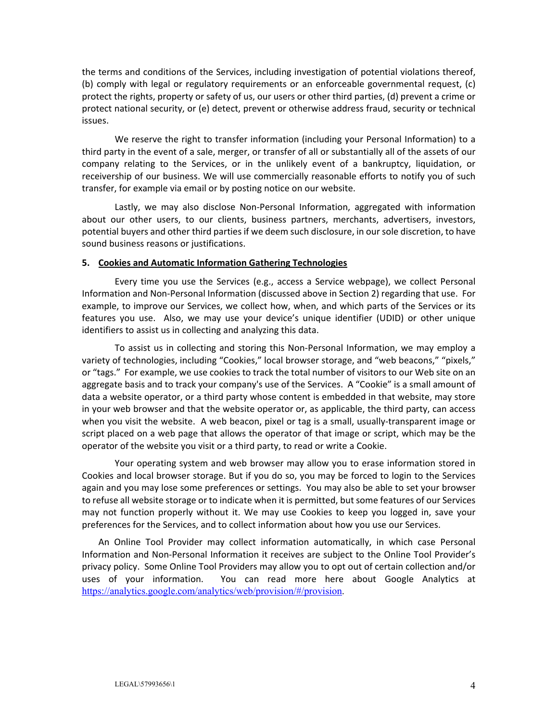the terms and conditions of the Services, including investigation of potential violations thereof, (b) comply with legal or regulatory requirements or an enforceable governmental request, (c) protect the rights, property or safety of us, our users or other third parties, (d) prevent a crime or protect national security, or (e) detect, prevent or otherwise address fraud, security or technical issues.

We reserve the right to transfer information (including your Personal Information) to a third party in the event of a sale, merger, or transfer of all or substantially all of the assets of our company relating to the Services, or in the unlikely event of a bankruptcy, liquidation, or receivership of our business. We will use commercially reasonable efforts to notify you of such transfer, for example via email or by posting notice on our website.

Lastly, we may also disclose Non‐Personal Information, aggregated with information about our other users, to our clients, business partners, merchants, advertisers, investors, potential buyers and other third parties if we deem such disclosure, in our sole discretion, to have sound business reasons or justifications.

#### **5. Cookies and Automatic Information Gathering Technologies**

Every time you use the Services (e.g., access a Service webpage), we collect Personal Information and Non‐Personal Information (discussed above in Section 2) regarding that use. For example, to improve our Services, we collect how, when, and which parts of the Services or its features you use. Also, we may use your device's unique identifier (UDID) or other unique identifiers to assist us in collecting and analyzing this data.

To assist us in collecting and storing this Non‐Personal Information, we may employ a variety of technologies, including "Cookies," local browser storage, and "web beacons," "pixels," or "tags." For example, we use cookies to track the total number of visitors to our Web site on an aggregate basis and to track your company's use of the Services. A "Cookie" is a small amount of data a website operator, or a third party whose content is embedded in that website, may store in your web browser and that the website operator or, as applicable, the third party, can access when you visit the website. A web beacon, pixel or tag is a small, usually-transparent image or script placed on a web page that allows the operator of that image or script, which may be the operator of the website you visit or a third party, to read or write a Cookie.

Your operating system and web browser may allow you to erase information stored in Cookies and local browser storage. But if you do so, you may be forced to login to the Services again and you may lose some preferences or settings. You may also be able to set your browser to refuse all website storage or to indicate when it is permitted, but some features of our Services may not function properly without it. We may use Cookies to keep you logged in, save your preferences for the Services, and to collect information about how you use our Services.

An Online Tool Provider may collect information automatically, in which case Personal Information and Non‐Personal Information it receives are subject to the Online Tool Provider's privacy policy. Some Online Tool Providers may allow you to opt out of certain collection and/or uses of your information. You can read more here about Google Analytics at https://analytics.google.com/analytics/web/provision/#/provision.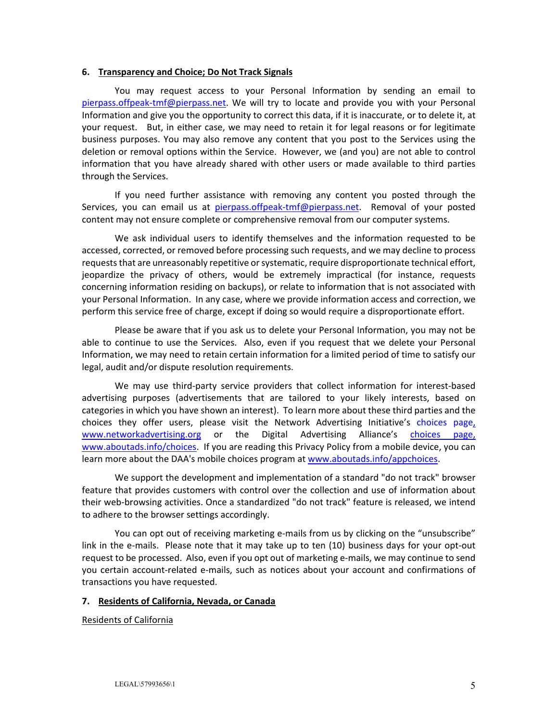#### **6. Transparency and Choice; Do Not Track Signals**

You may request access to your Personal Information by sending an email to pierpass.offpeak-tmf@pierpass.net. We will try to locate and provide you with your Personal Information and give you the opportunity to correct this data, if it is inaccurate, or to delete it, at your request. But, in either case, we may need to retain it for legal reasons or for legitimate business purposes. You may also remove any content that you post to the Services using the deletion or removal options within the Service. However, we (and you) are not able to control information that you have already shared with other users or made available to third parties through the Services.

If you need further assistance with removing any content you posted through the Services, you can email us at pierpass.offpeak-tmf@pierpass.net. Removal of your posted content may not ensure complete or comprehensive removal from our computer systems.

We ask individual users to identify themselves and the information requested to be accessed, corrected, or removed before processing such requests, and we may decline to process requests that are unreasonably repetitive or systematic, require disproportionate technical effort, jeopardize the privacy of others, would be extremely impractical (for instance, requests concerning information residing on backups), or relate to information that is not associated with your Personal Information. In any case, where we provide information access and correction, we perform this service free of charge, except if doing so would require a disproportionate effort.

Please be aware that if you ask us to delete your Personal Information, you may not be able to continue to use the Services. Also, even if you request that we delete your Personal Information, we may need to retain certain information for a limited period of time to satisfy our legal, audit and/or dispute resolution requirements.

We may use third-party service providers that collect information for interest-based advertising purposes (advertisements that are tailored to your likely interests, based on categories in which you have shown an interest). To learn more about these third parties and the choices they offer users, please visit the Network Advertising Initiative's choices page, www.networkadvertising.org or the Digital Advertising Alliance's choices page, www.aboutads.info/choices. If you are reading this Privacy Policy from a mobile device, you can learn more about the DAA's mobile choices program at www.aboutads.info/appchoices.

We support the development and implementation of a standard "do not track" browser feature that provides customers with control over the collection and use of information about their web‐browsing activities. Once a standardized "do not track" feature is released, we intend to adhere to the browser settings accordingly.

You can opt out of receiving marketing e-mails from us by clicking on the "unsubscribe" link in the e-mails. Please note that it may take up to ten (10) business days for your opt-out request to be processed. Also, even if you opt out of marketing e-mails, we may continue to send you certain account‐related e‐mails, such as notices about your account and confirmations of transactions you have requested.

### **7. Residents of California, Nevada, or Canada**

### Residents of California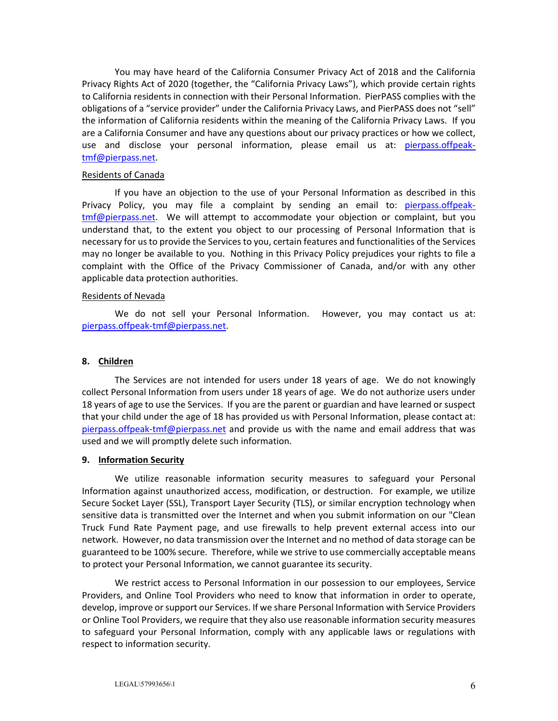You may have heard of the California Consumer Privacy Act of 2018 and the California Privacy Rights Act of 2020 (together, the "California Privacy Laws"), which provide certain rights to California residents in connection with their Personal Information. PierPASS complies with the obligations of a "service provider" under the California Privacy Laws, and PierPASS does not "sell" the information of California residents within the meaning of the California Privacy Laws. If you are a California Consumer and have any questions about our privacy practices or how we collect, use and disclose your personal information, please email us at: pierpass.offpeaktmf@pierpass.net.

#### Residents of Canada

If you have an objection to the use of your Personal Information as described in this Privacy Policy, you may file a complaint by sending an email to: *pierpass.offpeak*tmf@pierpass.net. We will attempt to accommodate your objection or complaint, but you understand that, to the extent you object to our processing of Personal Information that is necessary for us to provide the Services to you, certain features and functionalities of the Services may no longer be available to you. Nothing in this Privacy Policy prejudices your rights to file a complaint with the Office of the Privacy Commissioner of Canada, and/or with any other applicable data protection authorities.

#### Residents of Nevada

We do not sell your Personal Information. However, you may contact us at: pierpass.offpeak‐tmf@pierpass.net.

#### **8. Children**

The Services are not intended for users under 18 years of age. We do not knowingly collect Personal Information from users under 18 years of age. We do not authorize users under 18 years of age to use the Services. If you are the parent or guardian and have learned or suspect that your child under the age of 18 has provided us with Personal Information, please contact at: pierpass.offpeak-tmf@pierpass.net and provide us with the name and email address that was used and we will promptly delete such information.

#### **9. Information Security**

We utilize reasonable information security measures to safeguard your Personal Information against unauthorized access, modification, or destruction. For example, we utilize Secure Socket Layer (SSL), Transport Layer Security (TLS), or similar encryption technology when sensitive data is transmitted over the Internet and when you submit information on our "Clean Truck Fund Rate Payment page, and use firewalls to help prevent external access into our network. However, no data transmission over the Internet and no method of data storage can be guaranteed to be 100% secure. Therefore, while we strive to use commercially acceptable means to protect your Personal Information, we cannot guarantee its security.

We restrict access to Personal Information in our possession to our employees, Service Providers, and Online Tool Providers who need to know that information in order to operate, develop, improve or support our Services. If we share Personal Information with Service Providers or Online Tool Providers, we require that they also use reasonable information security measures to safeguard your Personal Information, comply with any applicable laws or regulations with respect to information security.